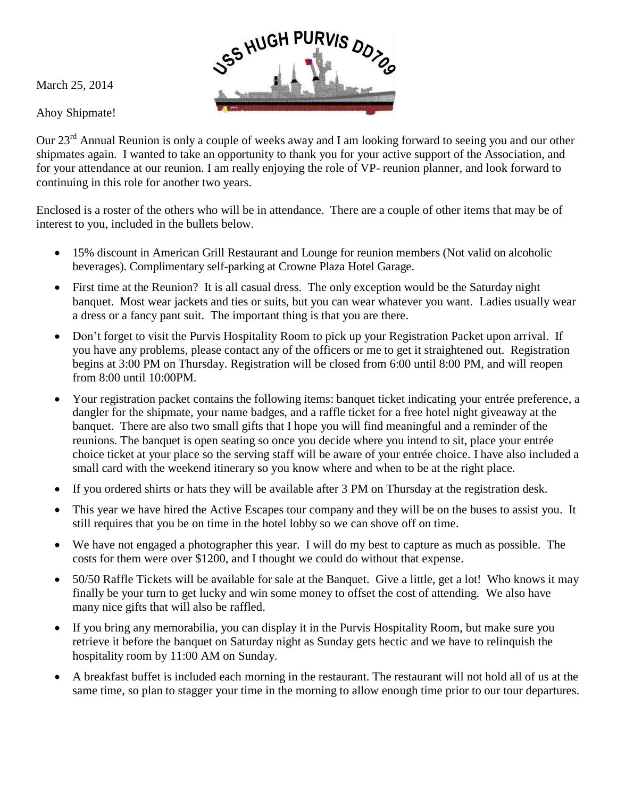

March 25, 2014

Ahoy Shipmate!

Our 23<sup>rd</sup> Annual Reunion is only a couple of weeks away and I am looking forward to seeing you and our other shipmates again. I wanted to take an opportunity to thank you for your active support of the Association, and for your attendance at our reunion. I am really enjoying the role of VP- reunion planner, and look forward to continuing in this role for another two years.

Enclosed is a roster of the others who will be in attendance. There are a couple of other items that may be of interest to you, included in the bullets below.

- 15% discount in American Grill Restaurant and Lounge for reunion members (Not valid on alcoholic beverages). Complimentary self-parking at Crowne Plaza Hotel Garage.
- First time at the Reunion? It is all casual dress. The only exception would be the Saturday night banquet. Most wear jackets and ties or suits, but you can wear whatever you want. Ladies usually wear a dress or a fancy pant suit. The important thing is that you are there.
- Don't forget to visit the Purvis Hospitality Room to pick up your Registration Packet upon arrival. If you have any problems, please contact any of the officers or me to get it straightened out. Registration begins at 3:00 PM on Thursday. Registration will be closed from 6:00 until 8:00 PM, and will reopen from 8:00 until 10:00PM.
- Your registration packet contains the following items: banquet ticket indicating your entrée preference, a dangler for the shipmate, your name badges, and a raffle ticket for a free hotel night giveaway at the banquet. There are also two small gifts that I hope you will find meaningful and a reminder of the reunions. The banquet is open seating so once you decide where you intend to sit, place your entrée choice ticket at your place so the serving staff will be aware of your entrée choice. I have also included a small card with the weekend itinerary so you know where and when to be at the right place.
- If you ordered shirts or hats they will be available after 3 PM on Thursday at the registration desk.
- This year we have hired the Active Escapes tour company and they will be on the buses to assist you. It still requires that you be on time in the hotel lobby so we can shove off on time.
- We have not engaged a photographer this year. I will do my best to capture as much as possible. The costs for them were over \$1200, and I thought we could do without that expense.
- 50/50 Raffle Tickets will be available for sale at the Banquet. Give a little, get a lot! Who knows it may finally be your turn to get lucky and win some money to offset the cost of attending. We also have many nice gifts that will also be raffled.
- If you bring any memorabilia, you can display it in the Purvis Hospitality Room, but make sure you retrieve it before the banquet on Saturday night as Sunday gets hectic and we have to relinquish the hospitality room by 11:00 AM on Sunday.
- A breakfast buffet is included each morning in the restaurant. The restaurant will not hold all of us at the same time, so plan to stagger your time in the morning to allow enough time prior to our tour departures.